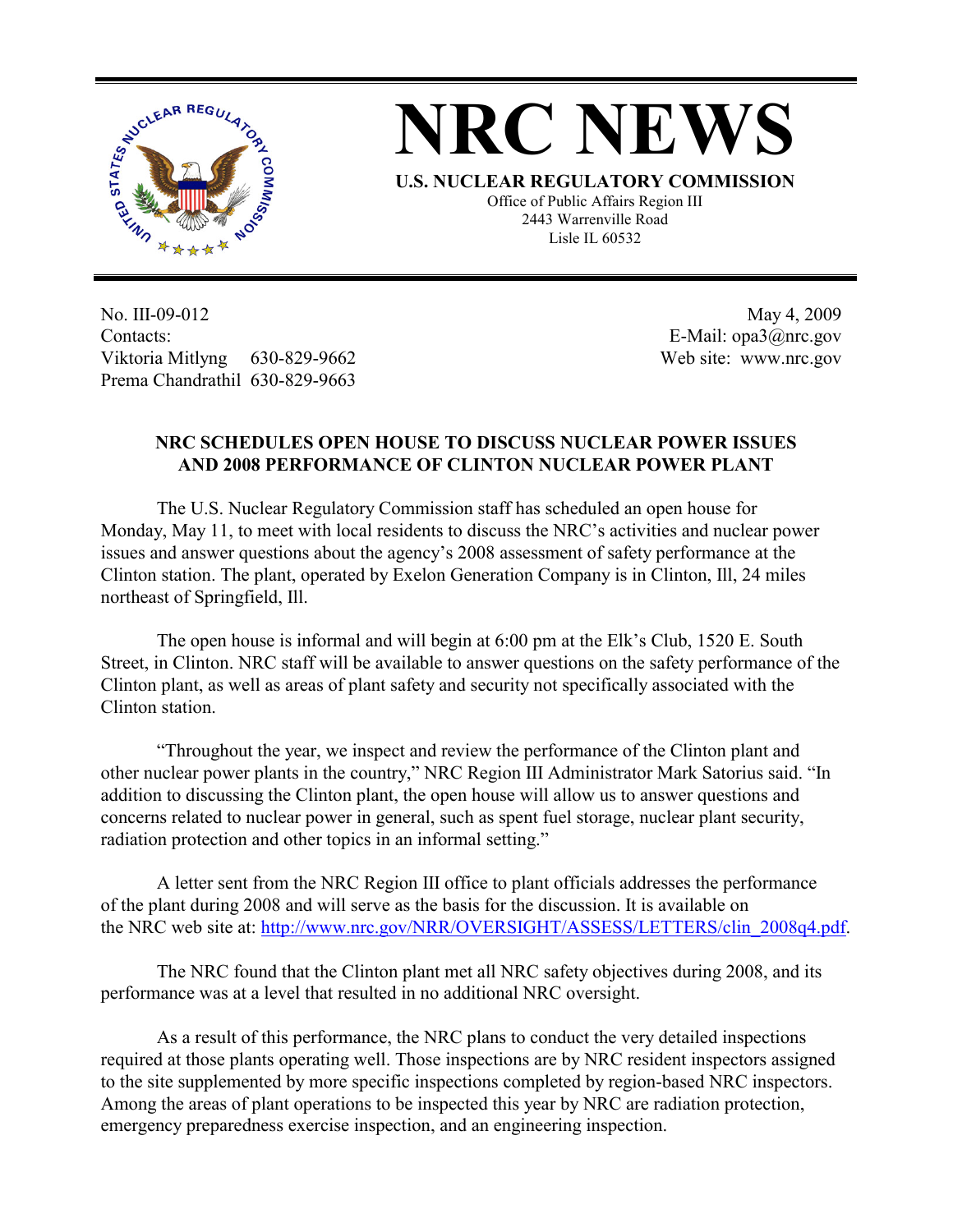

## **NRC NEWS**

**U.S. NUCLEAR REGULATORY COMMISSION**

Office of Public Affairs Region III 2443 Warrenville Road Lisle IL 60532

No. III-09-012 Contacts: Viktoria Mitlyng 630-829-9662 Prema Chandrathil 630-829-9663

 May 4, 2009 E-Mail: opa3@nrc.gov Web site: www.nrc.gov

## **NRC SCHEDULES OPEN HOUSE TO DISCUSS NUCLEAR POWER ISSUES AND 2008 PERFORMANCE OF CLINTON NUCLEAR POWER PLANT**

The U.S. Nuclear Regulatory Commission staff has scheduled an open house for Monday, May 11, to meet with local residents to discuss the NRC's activities and nuclear power issues and answer questions about the agency's 2008 assessment of safety performance at the Clinton station. The plant, operated by Exelon Generation Company is in Clinton, Ill, 24 miles northeast of Springfield, Ill.

The open house is informal and will begin at 6:00 pm at the Elk's Club, 1520 E. South Street, in Clinton. NRC staff will be available to answer questions on the safety performance of the Clinton plant, as well as areas of plant safety and security not specifically associated with the Clinton station.

"Throughout the year, we inspect and review the performance of the Clinton plant and other nuclear power plants in the country," NRC Region III Administrator Mark Satorius said. "In addition to discussing the Clinton plant, the open house will allow us to answer questions and concerns related to nuclear power in general, such as spent fuel storage, nuclear plant security, radiation protection and other topics in an informal setting."

A letter sent from the NRC Region III office to plant officials addresses the performance of the plant during 2008 and will serve as the basis for the discussion. It is available on the NRC web site at: http://www.nrc.gov/NRR/OVERSIGHT/ASSESS/LETTERS/clin\_2008q4.pdf.

The NRC found that the Clinton plant met all NRC safety objectives during 2008, and its performance was at a level that resulted in no additional NRC oversight.

As a result of this performance, the NRC plans to conduct the very detailed inspections required at those plants operating well. Those inspections are by NRC resident inspectors assigned to the site supplemented by more specific inspections completed by region-based NRC inspectors. Among the areas of plant operations to be inspected this year by NRC are radiation protection, emergency preparedness exercise inspection, and an engineering inspection.